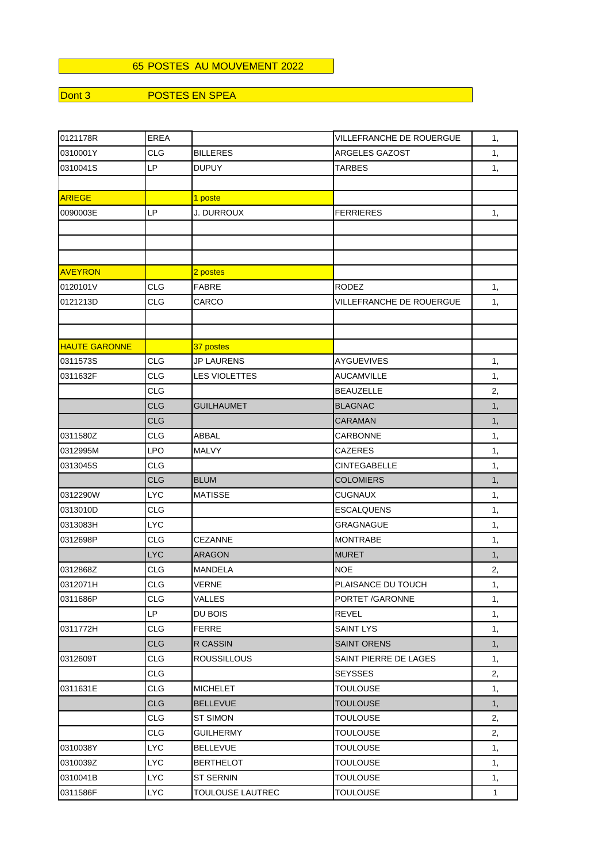## 65 POSTES AU MOUVEMENT 2022

Dont 3 POSTES EN SPEA

| 0121178R             | <b>EREA</b> |                      | VILLEFRANCHE DE ROUERGUE | 1,           |
|----------------------|-------------|----------------------|--------------------------|--------------|
| 0310001Y             | <b>CLG</b>  | <b>BILLERES</b>      | ARGELES GAZOST           | 1,           |
| 0310041S             | <b>LP</b>   | <b>DUPUY</b>         | TARBES                   | 1,           |
|                      |             |                      |                          |              |
| <b>ARIEGE</b>        |             | 1 poste              |                          |              |
| 0090003E             | LP.         | J. DURROUX           | <b>FERRIERES</b>         | 1,           |
|                      |             |                      |                          |              |
|                      |             |                      |                          |              |
|                      |             |                      |                          |              |
| <b>AVEYRON</b>       |             | 2 postes             |                          |              |
| 0120101V             | <b>CLG</b>  | <b>FABRE</b>         | <b>RODEZ</b>             | 1,           |
| 0121213D             | <b>CLG</b>  | CARCO                | VILLEFRANCHE DE ROUERGUE | 1,           |
|                      |             |                      |                          |              |
|                      |             |                      |                          |              |
| <b>HAUTE GARONNE</b> |             | 37 postes            |                          |              |
| 0311573S             | <b>CLG</b>  | <b>JP LAURENS</b>    | <b>AYGUEVIVES</b>        | 1,           |
| 0311632F             | <b>CLG</b>  | <b>LES VIOLETTES</b> | <b>AUCAMVILLE</b>        | 1,           |
|                      | <b>CLG</b>  |                      | <b>BEAUZELLE</b>         | 2,           |
|                      | <b>CLG</b>  | <b>GUILHAUMET</b>    | <b>BLAGNAC</b>           | 1,           |
|                      | <b>CLG</b>  |                      | CARAMAN                  | 1,           |
| 0311580Z             | <b>CLG</b>  | ABBAL                | CARBONNE                 | 1,           |
| 0312995M             | <b>LPO</b>  | <b>MALVY</b>         | <b>CAZERES</b>           | 1,           |
| 0313045S             | <b>CLG</b>  |                      | <b>CINTEGABELLE</b>      | 1,           |
|                      | <b>CLG</b>  | <b>BLUM</b>          | <b>COLOMIERS</b>         | 1,           |
| 0312290W             | <b>LYC</b>  | <b>MATISSE</b>       | CUGNAUX                  | 1,           |
| 0313010D             | <b>CLG</b>  |                      | <b>ESCALQUENS</b>        | 1,           |
| 0313083H             | <b>LYC</b>  |                      | GRAGNAGUE                | 1,           |
| 0312698P             | <b>CLG</b>  | <b>CEZANNE</b>       | <b>MONTRABE</b>          | 1,           |
|                      | <b>LYC</b>  | <b>ARAGON</b>        | <b>MURET</b>             | 1,           |
| 0312868Z             | <b>CLG</b>  | <b>MANDELA</b>       | <b>NOE</b>               | 2,           |
| 0312071H             | <b>CLG</b>  | <b>VERNE</b>         | PLAISANCE DU TOUCH       | 1,           |
| 0311686P             | <b>CLG</b>  | VALLES               | PORTET /GARONNE          | 1,           |
|                      | LP.         | DU BOIS              | REVEL                    | 1,           |
| 0311772H             | <b>CLG</b>  | <b>FERRE</b>         | <b>SAINT LYS</b>         | 1,           |
|                      | <b>CLG</b>  | R CASSIN             | <b>SAINT ORENS</b>       | 1,           |
| 0312609T             | <b>CLG</b>  | ROUSSILLOUS          | SAINT PIERRE DE LAGES    | 1,           |
|                      | <b>CLG</b>  |                      | <b>SEYSSES</b>           | 2,           |
| 0311631E             | <b>CLG</b>  | <b>MICHELET</b>      | <b>TOULOUSE</b>          | 1,           |
|                      | <b>CLG</b>  | <b>BELLEVUE</b>      | <b>TOULOUSE</b>          | 1,           |
|                      | <b>CLG</b>  | <b>ST SIMON</b>      | <b>TOULOUSE</b>          | 2,           |
|                      | <b>CLG</b>  | <b>GUILHERMY</b>     | TOULOUSE                 | 2,           |
| 0310038Y             | LYC         | <b>BELLEVUE</b>      | <b>TOULOUSE</b>          | 1,           |
| 0310039Z             | LYC.        | <b>BERTHELOT</b>     | <b>TOULOUSE</b>          | 1,           |
| 0310041B             | LYC.        | ST SERNIN            | TOULOUSE                 | 1,           |
| 0311586F             | LYC.        | TOULOUSE LAUTREC     | <b>TOULOUSE</b>          | $\mathbf{1}$ |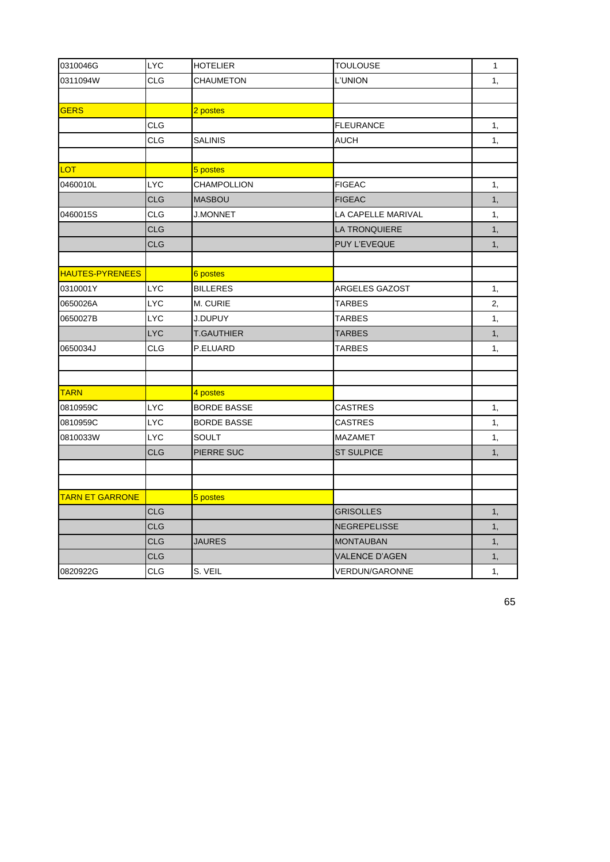| 0310046G               | <b>LYC</b> | <b>HOTELIER</b>    | <b>TOULOUSE</b>       | $\mathbf{1}$ |
|------------------------|------------|--------------------|-----------------------|--------------|
| 0311094W               | CLG        | <b>CHAUMETON</b>   | L'UNION               | 1,           |
|                        |            |                    |                       |              |
| <b>GERS</b>            |            | 2 postes           |                       |              |
|                        | <b>CLG</b> |                    | <b>FLEURANCE</b>      | 1,           |
|                        | CLG        | <b>SALINIS</b>     | <b>AUCH</b>           | 1,           |
|                        |            |                    |                       |              |
| <b>LOT</b>             |            | 5 postes           |                       |              |
| 0460010L               | LYC        | CHAMPOLLION        | <b>FIGEAC</b>         | 1,           |
|                        | <b>CLG</b> | <b>MASBOU</b>      | <b>FIGEAC</b>         | 1,           |
| 0460015S               | <b>CLG</b> | <b>J.MONNET</b>    | LA CAPELLE MARIVAL    | 1,           |
|                        | <b>CLG</b> |                    | LA TRONQUIERE         | 1,           |
|                        | <b>CLG</b> |                    | PUY L'EVEQUE          | 1,           |
|                        |            |                    |                       |              |
| <b>HAUTES-PYRENEES</b> |            | 6 postes           |                       |              |
| 0310001Y               | <b>LYC</b> | <b>BILLERES</b>    | ARGELES GAZOST        | 1,           |
| 0650026A               | <b>LYC</b> | M. CURIE           | <b>TARBES</b>         | 2,           |
| 0650027B               | <b>LYC</b> | J.DUPUY            | <b>TARBES</b>         | 1,           |
|                        | <b>LYC</b> | T.GAUTHIER         | <b>TARBES</b>         | 1,           |
| 0650034J               | <b>CLG</b> | P.ELUARD           | <b>TARBES</b>         | 1,           |
|                        |            |                    |                       |              |
|                        |            |                    |                       |              |
| <b>TARN</b>            |            | 4 postes           |                       |              |
| 0810959C               | LYC        | <b>BORDE BASSE</b> | <b>CASTRES</b>        | 1,           |
| 0810959C               | <b>LYC</b> | <b>BORDE BASSE</b> | <b>CASTRES</b>        | 1,           |
| 0810033W               | <b>LYC</b> | <b>SOULT</b>       | <b>MAZAMET</b>        | 1,           |
|                        | <b>CLG</b> | PIERRE SUC         | <b>ST SULPICE</b>     | 1,           |
|                        |            |                    |                       |              |
|                        |            |                    |                       |              |
| <b>TARN ET GARRONE</b> |            | 5 postes           |                       |              |
|                        | <b>CLG</b> |                    | <b>GRISOLLES</b>      | 1,           |
|                        | <b>CLG</b> |                    | NEGREPELISSE          | 1,           |
|                        | <b>CLG</b> | <b>JAURES</b>      | <b>MONTAUBAN</b>      | 1,           |
|                        | <b>CLG</b> |                    | <b>VALENCE D'AGEN</b> | 1,           |
| 0820922G               | <b>CLG</b> | S. VEIL            | <b>VERDUN/GARONNE</b> | 1,           |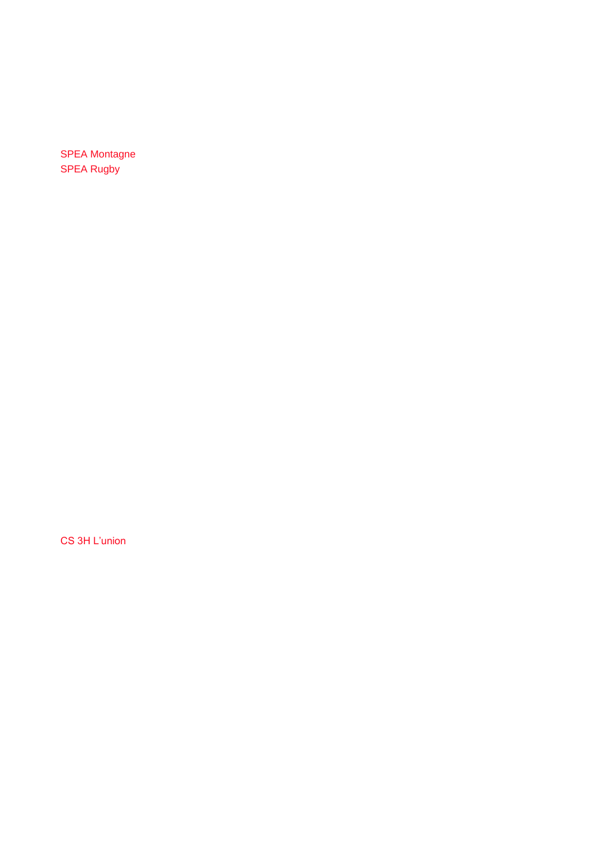**SPEA Montagne SPEA Rugby** 

CS 3H L'union